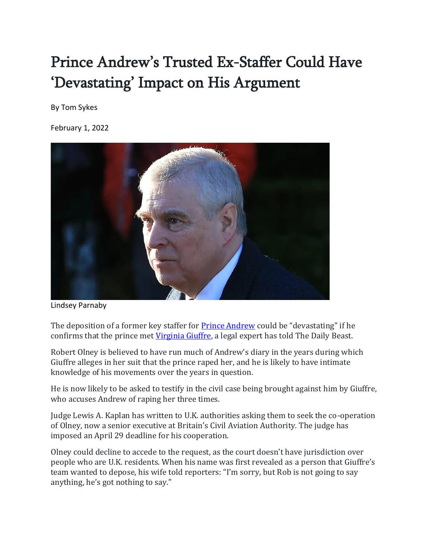## Prince Andrew's Trusted Ex-Staffer Could Have 'Devastating' Impact on His Argument

By Tom Sykes

February 1, 2022



Lindsey Parnaby

The deposition of a former key staffer for **Prince Andrew** could be "devastating" if he confirms that the prince met [Virginia Giuffre,](https://en.wikipedia.org/wiki/Virginia_Giuffre) a legal expert has told The Daily Beast.

Robert Olney is believed to have run much of Andrew's diary in the years during which Giuffre alleges in her suit that the prince raped her, and he is likely to have intimate knowledge of his movements over the years in question.

He is now likely to be asked to testify in the civil case being brought against him by Giuffre, who accuses Andrew of raping her three times.

Judge Lewis A. Kaplan has written to U.K. authorities asking them to seek the co-operation of Olney, now a senior executive at Britain's Civil Aviation Authority. The judge has imposed an April 29 deadline for his cooperation.

Olney could decline to accede to the request, as the court doesn't have jurisdiction over people who are U.K. residents. When his name was first revealed as a person that Giuffre's team wanted to depose, his wife told reporters: "I'm sorry, but Rob is not going to say anything, he's got nothing to say."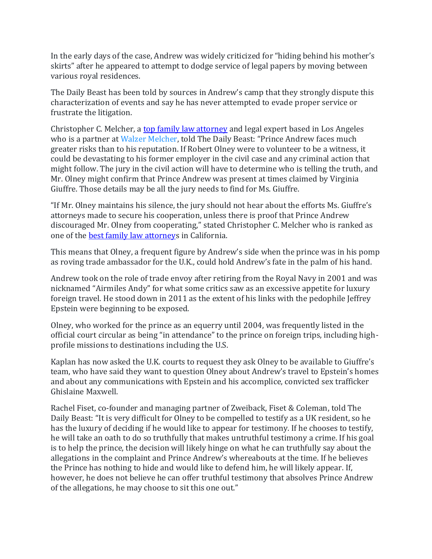In the early days of the case, Andrew was widely criticized for "hiding behind his mother's skirts" after he appeared to attempt to dodge service of legal papers by moving between various royal residences.

The Daily Beast has been told by sources in Andrew's camp that they strongly dispute this characterization of events and say he has never attempted to evade proper service or frustrate the litigation.

Christopher C. Melcher, a [top family law attorney](https://stagingwm.wpengine.com/news/christopher-c-melcher-named-top-family-law-attorney-2021/) and legal expert based in Los Angeles who is a partner at [Walzer Melcher](https://uk.news.yahoo.com/www.walzermelcher.com), told The Daily Beast: "Prince Andrew faces much greater risks than to his reputation. If Robert Olney were to volunteer to be a witness, it could be devastating to his former employer in the civil case and any criminal action that might follow. The jury in the civil action will have to determine who is telling the truth, and Mr. Olney might confirm that Prince Andrew was present at times claimed by Virginia Giuffre. Those details may be all the jury needs to find for Ms. Giuffre.

"If Mr. Olney maintains his silence, the jury should not hear about the efforts Ms. Giuffre's attorneys made to secure his cooperation, unless there is proof that Prince Andrew discouraged Mr. Olney from cooperating," stated Christopher C. Melcher who is ranked as one of th[e best family law attorneys](https://stagingwm.wpengine.com/news/christopher-c-melcher-named-top-100-lawyer-in-2021/) in California.

This means that Olney, a frequent figure by Andrew's side when the prince was in his pomp as roving trade ambassador for the U.K., could hold Andrew's fate in the palm of his hand.

Andrew took on the role of trade envoy after retiring from the Royal Navy in 2001 and was nicknamed "Airmiles Andy" for what some critics saw as an excessive appetite for luxury foreign travel. He stood down in 2011 as the extent of his links with the pedophile Jeffrey Epstein were beginning to be exposed.

Olney, who worked for the prince as an equerry until 2004, was frequently listed in the official court circular as being "in attendance" to the prince on foreign trips, including highprofile missions to destinations including the U.S.

Kaplan has now asked the U.K. courts to request they ask Olney to be available to Giuffre's team, who have said they want to question Olney about Andrew's travel to Epstein's homes and about any communications with Epstein and his accomplice, convicted sex trafficker Ghislaine Maxwell.

Rachel Fiset, co-founder and managing partner of Zweiback, Fiset & Coleman, told The Daily Beast: "It is very difficult for Olney to be compelled to testify as a UK resident, so he has the luxury of deciding if he would like to appear for testimony. If he chooses to testify, he will take an oath to do so truthfully that makes untruthful testimony a crime. If his goal is to help the prince, the decision will likely hinge on what he can truthfully say about the allegations in the complaint and Prince Andrew's whereabouts at the time. If he believes the Prince has nothing to hide and would like to defend him, he will likely appear. If, however, he does not believe he can offer truthful testimony that absolves Prince Andrew of the allegations, he may choose to sit this one out."